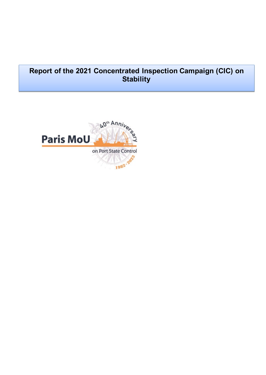# **Report of the 2021 Concentrated Inspection Campaign (CIC) on Stability**

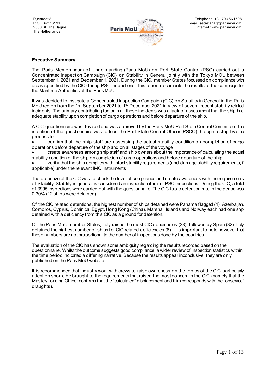

#### **Executive Summary**

The Paris Memorandum of Understanding (Paris MoU) on Port State Control (PSC) carried out a Concentrated Inspection Campaign (CIC) on Stability in General jointly with the Tokyo MOU between September 1, 2021 and December 1, 2021. During the CIC, member States focussed on compliance with areas specified by the CIC during PSC inspections. This report documents the results of the campaign for the Maritime Authorities of the Paris MoU.

It was decided to instigate a Concentrated Inspection Campaign (CIC) on Stability in General in the Paris MoU region from the 1st September 2021 to 1<sup>st</sup> December 2021 in view of several recent stability related incidents. The primary contributing factor in all these incidents was a lack of assessment that the ship had adequate stability upon completion of cargo operations and before departure of the ship.

A CIC questionnaire was devised and was approved by the Paris MoU Port State Control Committee. The intention of the questionnaire was to lead the Port State Control Officer (PSCO) through a step-by-step process to:

• confirm that the ship staff are assessing the actual stability condition on completion of cargo operations before departure of the ship and on all stages of the voyage

• create awareness among ship staff and ship owners about the importance of calculating the actual stability condition of the ship on completion of cargo operations and before departure of the ship

• verify that the ship complies with intact stability requirements (and damage stability requirements, if applicable) under the relevant IMO instruments

The objective of the CIC was to check the level of compliance and create awareness with the requirements of Stability. Stability in general is considered an inspection item for PSC inspections. During the CIC, a total of 3995 inspections were carried out with the questionnaire. The CIC-topic detention rate in the period was 0.30% (12 ships were detained).

Of the CIC related detentions, the highest number of ships detained were Panama flagged (4). Azerbaijan, Comoros, Cyprus, Dominica, Egypt, Hong Kong (China), Marshall Islands and Norway each had one ship detained with a deficiency from this CIC as a ground for detention.

Of the Paris MoU member States, Italy raised the most CIC deficiencies (38), followed by Spain (32). Italy detained the highest number of ships for CIC-related deficiencies (6). It is important to note however that these numbers are not proportional to the number of inspections done by the countries.

The evaluation of the CIC has shown some ambiguity regarding the results recorded based on the questionnaire. Whilst the outcome suggests good compliance, a wider review of inspection statistics within the time period indicated a differing narrative. Because the results appear inconclusive, they are only published on the Paris MoU website.

It is recommended that industry work with crews to raise awareness on the topics of the CIC particularly attention should be brought to the requirements that raised the most concern in the CIC (namely that the Master/Loading Officer confirms that the "calculated" displacement and trim corresponds with the "observed" draughts).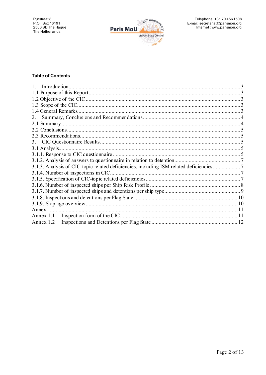

## **Table of Contents**

| 2.                                                                                    |  |
|---------------------------------------------------------------------------------------|--|
|                                                                                       |  |
|                                                                                       |  |
|                                                                                       |  |
|                                                                                       |  |
|                                                                                       |  |
|                                                                                       |  |
|                                                                                       |  |
| 3.1.3. Analysis of CIC-topic related deficiencies, including ISM related deficiencies |  |
|                                                                                       |  |
|                                                                                       |  |
|                                                                                       |  |
|                                                                                       |  |
|                                                                                       |  |
|                                                                                       |  |
| Annex 1                                                                               |  |
| Annex 1.1                                                                             |  |
| Annex 1.2                                                                             |  |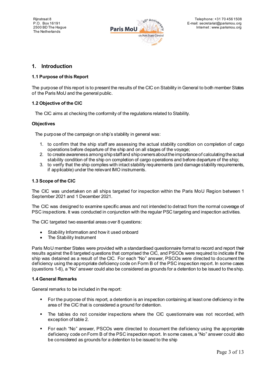

# <span id="page-3-0"></span>**1. Introduction**

## <span id="page-3-1"></span>**1.1 Purpose of this Report**

The purpose of this report is to present the results of the CIC on Stability in General to both member States of the Paris MoU and the general public.

## <span id="page-3-2"></span>**1.2 Objective of the CIC**

The CIC aims at checking the conformity of the regulations related to Stability.

## **Objectives**

The purpose of the campaign on ship's stability in general was:

- 1. to confirm that the ship staff are assessing the actual stability condition on completion of cargo operations before departure of the ship and on all stages of the voyage;
- 2. to create awareness among ship staff and ship owners about the importance of calculating the actual stability condition of the ship on completion of cargo operations and before departure of the ship;
- 3. to verify that the ship complies with intact stability requirements (and damage stability requirements, if applicable) under the relevant IMO instruments.

## <span id="page-3-3"></span>**1.3 Scope of the CIC**

The CIC was undertaken on all ships targeted for inspection within the Paris MoU Region between 1 September 2021 and 1 December 2021.

The CIC was designed to examine specific areas and not intended to detract from the normal coverage of PSC inspections. It was conducted in conjunction with the regular PSC targeting and inspection activities.

The CIC targeted two essential areas over 8 questions:

- Stability Information and how it used onboard
- The Stability Instrument

Paris MoU member States were provided with a standardised questionnaire format to record and report their results against the 8 targeted questions that comprised the CIC, and PSCOs were required to indicate if the ship was detained as a result of the CIC. For each "No" answer, PSCOs were directed to document the deficiency using the appropriate deficiency code on Form B of the PSC inspection report. In some cases (questions 1-6), a "No" answer could also be considered as grounds for a detention to be issued to the ship.

#### <span id="page-3-4"></span>**1.4 General Remarks**

General remarks to be included in the report:

- For the purpose of this report, a detention is an inspection containing at least one deficiency in the area of the CIC that is considered a ground for detention.
- The tables do not consider inspections where the CIC questionnaire was not recorded, with exception of table 2.
- For each "No" answer, PSCOs were directed to document the deficiency using the appropriate deficiency code on Form B of the PSC inspection report. In some cases, a "No" answer could also be considered as grounds for a detention to be issued to the ship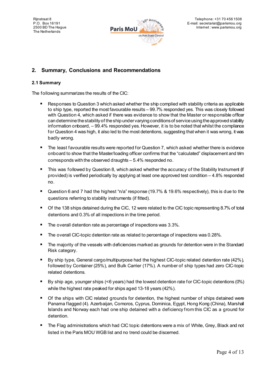

# <span id="page-4-0"></span>**2. Summary, Conclusions and Recommendations**

## <span id="page-4-1"></span>**2.1 Summary**

The following summarizes the results of the CIC:

- **Responses to Question 3 which asked whether the ship complied with stability criteria as applicable** to ship type, reported the most favourable results – 99.7% responded yes. This was closely followed with Question 4, which asked if there was evidence to show that the Master or responsible officer can determine the stability of the ship under varying conditions of service using the approved stability information onboard, – 99.4% responded yes. However, it is to be noted that whilst the compliance for Question 4 was high, it also led to the most detentions, suggesting that when it was wrong, it was badly wrong.
- The least favourable results were reported for Question 7, which asked whether there is evidence onboard to show that the Master/loading officer confirms that the "calculated" displacement and trim corresponds with the observed draughts – 5.4% responded no.
- This was followed by Question 8, which asked whether the accuracy of the Stability Instrument (if provided) is verified periodically by applying at least one approved test condition – 4.8% responded no.
- Question 6 and 7 had the highest "n/a" response (19.7% & 19.6% respectively), this is due to the questions referring to stability instruments (if fitted).
- Of the 138 ships detained during the CIC, 12 were related to the CIC topic representing 8.7% of total detentions and 0.3% of all inspections in the time period.
- The overall detention rate as percentage of inspections was 3.3%.
- The overall CIC-topic detention rate as related to percentage of inspections was 0.28%.
- The majority of the vessels with deficiencies marked as grounds for detention were in the Standard Risk category.
- By ship type, General cargo/multipurpose had the highest CIC-topic related detention rate (42%), followed by Container (25%), and Bulk Carrier (17%). A number of ship types had zero CIC-topic related detentions.
- By ship age, younger ships (<6 years) had the lowest detention rate for CIC-topic detentions (0%) while the highest rate peaked for ships aged 13-18 years (42%).
- **Of the ships with CIC related grounds for detention, the highest number of ships detained were** Panama flagged (4). Azerbaijan, Comoros, Cyprus, Dominica, Egypt, Hong Kong (China), Marshall Islands and Norway each had one ship detained with a deficiency from this CIC as a ground for detention.
- **The Flag administrations which had CIC topic detentions were a mix of White, Grey, Black and not** listed in the Paris MOU WGB list and no trend could be discerned.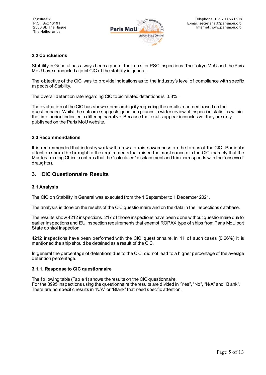

## <span id="page-5-0"></span>**2.2 Conclusions**

Stability in General has always been a part of the items for PSC inspections. The Tokyo MoU and the Paris MoU have conducted a joint CIC of the stability in general.

The objective of the CIC was to provide indications as to the industry's level of compliance with specific aspects of Stability.

The overall detention rate regarding CIC topic related detentions is 0.3% .

The evaluation of the CIC has shown some ambiguity regarding the results recorded based on the questionnaire. Whilst the outcome suggests good compliance, a wider review of inspection statistics within the time period indicated a differing narrative. Because the results appear inconclusive, they are only published on the Paris MoU website.

#### <span id="page-5-1"></span>**2.3 Recommendations**

It is recommended that industry work with crews to raise awareness on the topics of the CIC. Particular attention should be brought to the requirements that raised the most concern in the CIC (namely that the Master/Loading Officer confirms that the "calculated" displacement and trim corresponds with the "observed" draughts).

## <span id="page-5-2"></span>**3. CIC Questionnaire Results**

#### <span id="page-5-3"></span>**3.1 Analysis**

The CIC on Stability in General was executed from the 1 September to 1 December 2021.

The analysis is done on the results of the CIC questionnaire and on the data in the inspections database.

The results show 4212 inspections. 217 of those inspections have been done without questionnaire due to earlier inspections and EU inspection requirements that exempt ROPAX type of ships from Paris MoU port State control inspection.

4212 inspections have been performed with the CIC questionnaire. In 11 of such cases (0.26%) it is mentioned the ship should be detained as a result of the CIC.

In general the percentage of detentions due to the CIC, did not lead to a higher percentage of the average detention percentage.

#### <span id="page-5-4"></span>**3.1.1. Response to CIC questionnaire**

The following table (Table 1) shows the results on the CIC questionnaire. For the 3995 inspections using the questionnaire the results are divided in "Yes", "No", "N/A" and "Blank". There are no specific results in "N/A" or "Blank" that need specific attention.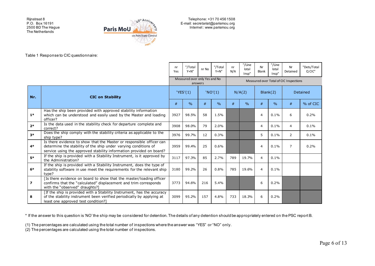Rijnstraat 8 P.O. Box 16191 2500 BD The Hague The Netherlands



Telephone: +31 70 456 1508 E-mail: secretariat@parismou.org Internet : www.parismou.org

Table 1 Response to CIC questionnaire:

|                          |                                                                                                                                                                                                                | nr<br>Yes | "/Total<br>$Y + N''$                     | nr No   | "/Total<br>$Y + N''$ | nr<br>N/A | "/Line<br>lotal<br>Insp" | Nr<br>Blank | "/Line<br>lotal<br>Insp" | Nr<br>Detained                         | "Dets/Total<br>Q CIC" |
|--------------------------|----------------------------------------------------------------------------------------------------------------------------------------------------------------------------------------------------------------|-----------|------------------------------------------|---------|----------------------|-----------|--------------------------|-------------|--------------------------|----------------------------------------|-----------------------|
|                          |                                                                                                                                                                                                                |           | Measured over only Yes and No<br>answers |         |                      |           |                          |             |                          | Measured over Total of CIC Inspections |                       |
| Nr.                      | <b>CIC on Stability</b>                                                                                                                                                                                        |           | YES'(1)                                  | 'NO'(1) |                      | N/A(2)    |                          | Blank(2)    |                          | Detained                               |                       |
|                          |                                                                                                                                                                                                                | #         | $\frac{0}{0}$                            | #       | $\frac{0}{0}$        | #         | $\frac{0}{0}$            | #           | $\%$                     | #                                      | % of CIC              |
| $1*$                     | Has the ship been provided with approved stability information<br>which can be understood and easily used by the Master and loading<br>officer?                                                                | 3927      | 98.5%                                    | 58      | 1.5%                 |           |                          | 4           | 0.1%                     | 6                                      | 0.2%                  |
| $2*$                     | Is the data used in the stability check for departure complete and<br>correct?                                                                                                                                 | 3908      | 98.0%                                    | 79      | 2.0%                 |           |                          | 4           | 0.1%                     | 4                                      | 0.1%                  |
| $3*$                     | Does the ship comply with the stability criteria as applicable to the<br>ship type?                                                                                                                            | 3976      | 99.7%                                    | 12      | 0.3%                 |           |                          | 5           | 0.1%                     | $\overline{2}$                         | 0.1%                  |
| $4*$                     | Is there evidence to show that the Master or responsible officer can<br>determine the stability of the ship under varying conditions of<br>service using the approved stability information provided on board? | 3959      | 99.4%                                    | 25      | 0.6%                 |           |                          | 4           | 0.1%                     | $\overline{7}$                         | 0.2%                  |
| $5*$                     | If the ship is provided with a Stability Instrument, is it approved by<br>the Administration?                                                                                                                  | 3117      | 97.3%                                    | 85      | 2.7%                 | 789       | 19.7%                    | 4           | 0.1%                     |                                        |                       |
| $6*$                     | If the ship is provided with a Stability Instrument, does the type of<br>stability software in use meet the requirements for the relevant ship<br>type?                                                        | 3180      | 99.2%                                    | 26      | 0.8%                 | 785       | 19.6%                    | 4           | 0.1%                     |                                        |                       |
| $\overline{\phantom{a}}$ | [Is there evidence on board to show that the master/loading officer<br>confirms that the "calculated" displacement and trim corresponds<br>with the "observed" draughts?]                                      | 3773      | 94.6%                                    | 216     | 5.4%                 |           |                          | 6           | 0.2%                     |                                        |                       |
| 8                        | [If the ship is provided with a Stability Instrument, has the accuracy<br>of the stability instrument been verified periodically by applying at<br>least one approved test condition?]                         | 3099      | 95.2%                                    | 157     | 4.8%                 | 733       | 18.3%                    | 6           | 0.2%                     |                                        |                       |

\* If the answer to this question is 'NO' the ship may be considered for detention. The details of any detention should be appropriately entered on the PSC report B.

(1) The percentages are calculated using the total number of inspections where the answer was "YES" or "NO" only.

 $(2)$  The percentages are calculated using the total number of inspections.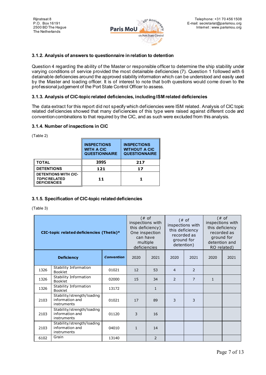

#### <span id="page-7-0"></span>**3.1.2. Analysis of answers to questionnaire in relation to detention**

Question 4 regarding the ability of the Master or responsible officer to determine the ship stability under varying conditions of service provided the most detainable deficiencies (7). Question 1 followed with 6 detainable deficiencies around the approved stability information which can be understood and easily used by the Master and loading officer. It is of interest to note that both questions would come down to the professional judgement of the Port State Control Officer to assess.

## <span id="page-7-1"></span>**3.1.3. Analysis of CIC-topic related deficiencies, including ISM related deficiencies**

The data extract for this report did not specify which deficiencies were ISM related. Analysis of CIC topic related deficiencies showed that many deficiencies of this type were raised against different code and convention combinations to that required by the CIC, and as such were excluded from this analysis.

## <span id="page-7-2"></span>**3.1.4. Number of inspections in CIC**

|                                                                            | <b>INSPECTIONS</b><br><b>WITH A CIC</b><br><b>QUESTIONNAIRE</b> | <b>INSPECTIONS</b><br><b>WITHOUT A CIC</b><br><b>QUESTIONNAIRE</b> |
|----------------------------------------------------------------------------|-----------------------------------------------------------------|--------------------------------------------------------------------|
| <b>TOTAL</b>                                                               | 3995                                                            | 217                                                                |
| <b>DETENTIONS</b>                                                          | 121                                                             | 17                                                                 |
| <b>DETENTIONS WITH CIC-</b><br><b>TOPIC RELATED</b><br><b>DEFICIENCIES</b> | 11                                                              |                                                                    |

(Table 2)

## <span id="page-7-3"></span>**3.1.5. Specification of CIC-topic related deficiencies**

(Table 3)

| CIC-topic related deficiencies (Thetis)* |                                                              |                   | inspections with<br>this deficiency)<br>One inspection<br>can have<br>multiple<br>deficiencies | $#$ of       | inspections with<br>recorded as<br>ground for<br>detention) | $(* of$<br>this deficiency |              | $($ # $\circ$ f<br>inspections with<br>this deficiency<br>recorded as<br>ground for<br>detention and<br>RO related) |
|------------------------------------------|--------------------------------------------------------------|-------------------|------------------------------------------------------------------------------------------------|--------------|-------------------------------------------------------------|----------------------------|--------------|---------------------------------------------------------------------------------------------------------------------|
|                                          | <b>Deficiency</b>                                            | <b>Convention</b> | 2020                                                                                           | 2021         | 2020<br>2021                                                |                            | 2020         | 2021                                                                                                                |
| 1326                                     | Stability Information<br><b>Booklet</b>                      | 01021             | 12                                                                                             | 53           | 4                                                           | $\overline{2}$             |              |                                                                                                                     |
| 1326                                     | Stability Information<br>Booklet                             | 02000             | 15                                                                                             | 34           | 2                                                           | $\overline{7}$             | $\mathbf{1}$ |                                                                                                                     |
| 1326                                     | Stability Information<br><b>Booklet</b>                      | 13172             |                                                                                                | $\mathbf{1}$ |                                                             |                            |              |                                                                                                                     |
| 2103                                     | Stability/strength/loading<br>information and<br>instruments | 01021             | 17                                                                                             | 89           | 3                                                           | 3                          |              |                                                                                                                     |
| 2103                                     | Stability/strength/loading<br>information and<br>instruments | 01120             | 3                                                                                              | 16           |                                                             |                            |              |                                                                                                                     |
| 2103                                     | Stability/strength/loading<br>information and<br>instruments | 04010             | $\mathbf{1}$                                                                                   | 14           |                                                             |                            |              |                                                                                                                     |
| 6102                                     | Grain                                                        | 13140             |                                                                                                | 2            |                                                             |                            |              |                                                                                                                     |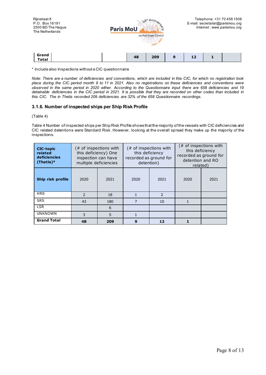

\* Include also Inspections without a CIC questionnaire

*Note: There are a number of deficiencies and conventions, which are included in this CIC, for which no registration took place during the CIC period month 9 to 11 in 2021. Also no registrations on these deficiencies and conventions were observed in the same period in 2020 either. According to the Questionnaire input there are 658 deficiencies and 19 detainable deficiencies in the CIC period in 2021. It is possible that they are recorded on other codes than included in this CIC. The in Thetis recorded 209 deficiencies are 32% of the 658 Questionnaire recordings.*

#### <span id="page-8-0"></span>**3.1.6. Number of inspected ships per Ship Risk Profile**

(Table 4)

Table 4 Number of inspected ships per Ship Risk Profile shows that the majority of the vessels with CIC deficiencies and CIC related detentions were Standard Risk. However, looking at the overall spread they make up the majority of the inspections.

| <b>CIC-topic</b><br>related<br>deficiencies<br>$(Thetis)*$ |                | $#$ of inspections with<br>$#$ of inspections with<br>this deficiency<br>this deficiency) One<br>this deficiency<br>recorded as ground for<br>recorded as ground for<br>inspection can have<br>detention and RO<br>multiple deficiencies<br>detention)<br>related) |      |                          | $#$ of inspections with |      |
|------------------------------------------------------------|----------------|--------------------------------------------------------------------------------------------------------------------------------------------------------------------------------------------------------------------------------------------------------------------|------|--------------------------|-------------------------|------|
| Ship risk profile                                          | 2020           | 2021                                                                                                                                                                                                                                                               | 2020 | 2021                     | 2020                    | 2021 |
| <b>HRS</b>                                                 | $\overline{z}$ | 18                                                                                                                                                                                                                                                                 | 1    | $\overline{\phantom{0}}$ |                         |      |
| <b>SRS</b>                                                 | 43             | 180                                                                                                                                                                                                                                                                | 7    | 10                       |                         |      |
| <b>LSR</b>                                                 | 6              |                                                                                                                                                                                                                                                                    |      |                          |                         |      |
| <b>UNKNOWN</b>                                             | 3              | 5                                                                                                                                                                                                                                                                  |      |                          |                         |      |
| <b>Grand Total</b>                                         | 48             | 209                                                                                                                                                                                                                                                                | 9    | 12                       |                         |      |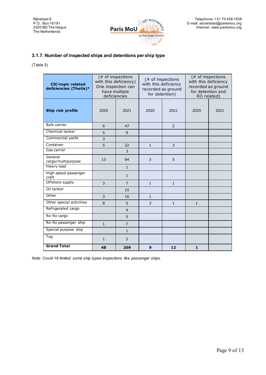Rijnstraat 8 P.O. Box 16191 2500 BD The Hague The Netherlands



## <span id="page-9-0"></span>**3.1.7. Number of inspected ships and detentions per ship type**

(Table 5)

| <b>CIC-topic related</b><br>deficiencies (Thetis)* | with this deficiency)<br>deficiencies | (# of inspections<br>One inspection can<br>have multiple | with this deficiency<br>for detention) | $#$ of inspections<br>recorded as ground | with this deficiency | $#$ of inspections<br>recorded as ground<br>for detention and<br>RO related) |
|----------------------------------------------------|---------------------------------------|----------------------------------------------------------|----------------------------------------|------------------------------------------|----------------------|------------------------------------------------------------------------------|
| Ship risk profile                                  | 2020                                  | 2021                                                     | 2020                                   | 2021                                     |                      | 2021                                                                         |
| <b>Bulk carrier</b>                                | 6                                     | 47                                                       |                                        | 2                                        |                      |                                                                              |
| Chemical tanker                                    | 5                                     | 9                                                        |                                        |                                          |                      |                                                                              |
| Commercial yacht                                   | 3                                     |                                                          |                                        |                                          |                      |                                                                              |
| Container                                          | 5                                     | 22                                                       | $\mathbf{1}$                           | 3                                        |                      |                                                                              |
| Gas carrier                                        |                                       | 3                                                        |                                        |                                          |                      |                                                                              |
| General<br>cargo/multipurpose                      | 13                                    | 64                                                       | 3                                      | 5                                        |                      |                                                                              |
| <b>Heavy load</b>                                  |                                       | $\mathbf{1}$                                             |                                        |                                          |                      |                                                                              |
| High speed passenger<br>craft                      |                                       | $\mathbf{1}$                                             |                                        |                                          |                      |                                                                              |
| Offshore supply                                    | 3                                     | $\overline{7}$                                           | $\mathbf{1}$                           | $\mathbf{1}$                             |                      |                                                                              |
| Oil tanker                                         |                                       | 15                                                       |                                        |                                          |                      |                                                                              |
| Other                                              | 3                                     | 16                                                       | $\mathbf{1}$                           |                                          |                      |                                                                              |
| Other special activities                           | 8                                     | 5                                                        | 3                                      | $\mathbf{1}$                             | $\mathbf{1}$         |                                                                              |
| Refrigerated cargo                                 |                                       | $\overline{4}$                                           |                                        |                                          |                      |                                                                              |
| Ro-Ro cargo                                        |                                       | 5                                                        |                                        |                                          |                      |                                                                              |
| Ro-Ro passenger ship                               | $\mathbf{1}$                          | $\overline{7}$                                           |                                        |                                          |                      |                                                                              |
| Special purpose ship                               |                                       | $\mathbf{1}$                                             |                                        |                                          |                      |                                                                              |
| Tug                                                | $\mathbf{1}$                          | 2                                                        |                                        |                                          |                      |                                                                              |
| <b>Grand Total</b>                                 | 48                                    | 209                                                      | $\mathbf{9}$                           | 12                                       | $\mathbf{1}$         |                                                                              |

*Note: Covid-19 limited some ship types inspections like passenger ships.*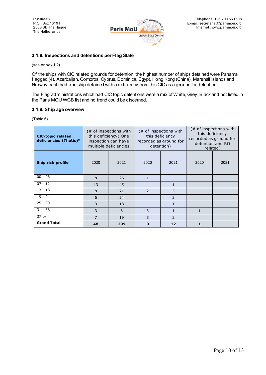

#### <span id="page-10-0"></span>**3.1.8. Inspections and detentions per Flag State**

(see Annex 1.2)

Of the ships with CIC related grounds for detention, the highest number of ships detained were Panama flagged (4). Azerbaijan, Comoros, Cyprus, Dominica, Egypt, Hong Kong (China), Marshall Islands and Norway each had one ship detained with a deficiency from this CIC as a ground for detention.

The Flag administrations which had CIC topic detentions were a mix of White, Grey, Black and not listed in the Paris MOU WGB list and no trend could be discerned.

#### <span id="page-10-1"></span>**3.1.9. Ship age overview**

(Table 6)

| <b>CIC-topic related</b><br>deficiencies (Thetis)* | (# of inspections with<br>this deficiency) One<br>inspection can have<br>multiple deficiencies |      | this deficiency<br>recorded as ground for<br>detention) | $#$ of inspections with |              | (# of inspections with<br>this deficiency<br>recorded as ground for<br>detention and RO<br>related) |  |      |
|----------------------------------------------------|------------------------------------------------------------------------------------------------|------|---------------------------------------------------------|-------------------------|--------------|-----------------------------------------------------------------------------------------------------|--|------|
| Ship risk profile                                  | 2020                                                                                           | 2021 | 2020                                                    | 2021                    |              |                                                                                                     |  | 2021 |
| $00 - 06$                                          | 8                                                                                              | 26   | $\mathbf{1}$                                            |                         |              |                                                                                                     |  |      |
| $07 - 12$                                          | 13                                                                                             | 45   |                                                         | 1                       |              |                                                                                                     |  |      |
| $13 - 18$                                          | 8                                                                                              | 71   | 2                                                       | 5                       |              |                                                                                                     |  |      |
| $19 - 24$                                          | 6                                                                                              | 24   |                                                         | 2                       |              |                                                                                                     |  |      |
| $25 - 30$                                          | 3                                                                                              | 18   |                                                         | 1                       |              |                                                                                                     |  |      |
| $31 - 36$                                          | 3                                                                                              | 6    | 3<br>$\mathbf{1}$                                       |                         | $\mathbf{1}$ |                                                                                                     |  |      |
| $37 \infty$                                        | $\overline{7}$                                                                                 | 19   | 3                                                       | 2                       |              |                                                                                                     |  |      |
| <b>Grand Total</b>                                 | 48                                                                                             | 209  | 9                                                       | 12                      | $\mathbf{1}$ |                                                                                                     |  |      |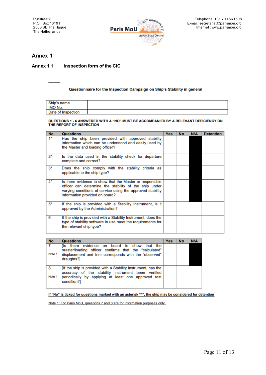

## <span id="page-11-0"></span>**Annex 1**

## <span id="page-11-1"></span>**Annex 1.1 Inspection form of the CIC**

#### Questionnaire for the Inspection Campaign on Ship's Stability in general

| Ship's name        |  |
|--------------------|--|
| IMO No.            |  |
| Date of Inspection |  |

# QUESTIONS 1 - 6 ANSWERED WITH A "NO" MUST BE ACCOMPANIED BY A RELEVANT DEFICIENCY ON THE REPORT OF INSPECTION

| No.   | <b>Questions</b>                                                                                                                                                                                                  | <b>Yes</b> | <b>No</b> | N/A | <b>Detention</b> |
|-------|-------------------------------------------------------------------------------------------------------------------------------------------------------------------------------------------------------------------|------------|-----------|-----|------------------|
| $1*$  | Has the ship been provided with approved stability<br>information which can be understood and easily used by<br>the Master and loading officer?                                                                   |            |           |     |                  |
| $2^*$ | Is the data used in the stability check for departure<br>complete and correct?                                                                                                                                    |            |           |     |                  |
| $3^*$ | Does the ship comply with the stability criteria as<br>applicable to the ship type?                                                                                                                               |            |           |     |                  |
| $4*$  | Is there evidence to show that the Master or responsible<br>officer can determine the stability of the ship under<br>varying conditions of service using the approved stability<br>information provided on board? |            |           |     |                  |
| $5*$  | If the ship is provided with a Stability Instrument, is it<br>approved by the Administration?                                                                                                                     |            |           |     |                  |
| 6     | If the ship is provided with a Stability Instrument, does the<br>type of stability software in use meet the requirements for<br>the relevant ship type?                                                           |            |           |     |                  |

| No.         | <b>Questions</b>                                                                                                                                                                          | <b>Yes</b> | <b>No</b> | <b>N/A</b> |
|-------------|-------------------------------------------------------------------------------------------------------------------------------------------------------------------------------------------|------------|-----------|------------|
| Note 1      | there evidence on board to show<br>that the<br>íls —<br>master/loading officer confirms that the "calculated"<br>displacement and trim corresponds with the "observed"<br>draughts?]      |            |           |            |
| 8<br>Note 1 | [If the ship is provided with a Stability Instrument, has the<br>accuracy of the stability instrument been verified<br>periodically by applying at least one approved test<br>condition?] |            |           |            |

#### If "No" is ticked for questions marked with an asterisk "\*", the ship may be considered for detention

Note 1: For Paris MoU, questions 7 and 8 are for information purposes only.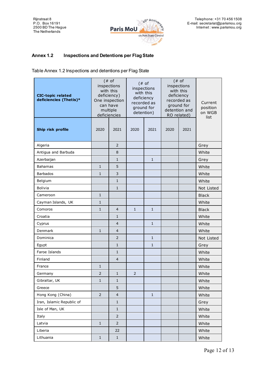

## <span id="page-12-0"></span>**Annex 1.2 Inspections and Detentions per Flag State**

Table Annex 1.2 Inspections and detentions per Flag State

| <b>CIC-topic related</b><br>deficiencies (Thetis)* |                | $(* of$<br>inspections<br>with this<br>deficiency)<br>One inspection<br>can have<br>multiple<br>deficiencies |                | $(* of$<br>inspections<br>with this<br>deficiency<br>recorded as<br>ground for<br>detention) |      | $($ # $o$ f<br>inspections<br>with this<br>deficiency<br>recorded as<br>ground for<br>detention and<br>RO related) | Current<br>position<br>on WGB<br>list |
|----------------------------------------------------|----------------|--------------------------------------------------------------------------------------------------------------|----------------|----------------------------------------------------------------------------------------------|------|--------------------------------------------------------------------------------------------------------------------|---------------------------------------|
| Ship risk profile                                  | 2020           | 2021                                                                                                         | 2020           | 2021                                                                                         | 2020 | 2021                                                                                                               |                                       |
| Algeria                                            |                | $\overline{2}$                                                                                               |                |                                                                                              |      |                                                                                                                    | Grey                                  |
| Antigua and Barbuda                                |                | 8                                                                                                            |                |                                                                                              |      |                                                                                                                    | White                                 |
| Azerbaijan                                         |                | $\mathbf{1}$                                                                                                 |                | $\mathbf{1}$                                                                                 |      |                                                                                                                    | Grey                                  |
| <b>Bahamas</b>                                     | $\mathbf{1}$   | 5                                                                                                            |                |                                                                                              |      |                                                                                                                    | White                                 |
| <b>Barbados</b>                                    | $\mathbf{1}$   | 3                                                                                                            |                |                                                                                              |      |                                                                                                                    | White                                 |
| Belgium                                            |                | $\mathbf{1}$                                                                                                 |                |                                                                                              |      |                                                                                                                    | White                                 |
| <b>Bolivia</b>                                     |                | $\mathbf{1}$                                                                                                 |                |                                                                                              |      |                                                                                                                    | Not Listed                            |
| Cameroon                                           | $\mathbf{1}$   |                                                                                                              |                |                                                                                              |      |                                                                                                                    | <b>Black</b>                          |
| Cayman Islands, UK                                 | $\mathbf{1}$   |                                                                                                              |                |                                                                                              |      |                                                                                                                    | White                                 |
| Comoros                                            | $\mathbf{1}$   | $\overline{4}$                                                                                               | $\mathbf{1}$   | $\mathbf{1}$                                                                                 |      |                                                                                                                    | <b>Black</b>                          |
| Croatia                                            |                | $\mathbf{1}$                                                                                                 |                |                                                                                              |      |                                                                                                                    | White                                 |
| Cyprus                                             |                | $\overline{4}$                                                                                               |                | $\mathbf{1}$                                                                                 |      |                                                                                                                    | White                                 |
| Denmark                                            | $\mathbf{1}$   | $\overline{4}$                                                                                               |                |                                                                                              |      |                                                                                                                    | White                                 |
| Dominica                                           |                | $\overline{2}$                                                                                               |                | $\mathbf{1}$                                                                                 |      |                                                                                                                    | Not Listed                            |
| Egypt                                              |                | $\mathbf{1}$                                                                                                 |                | $\mathbf{1}$                                                                                 |      |                                                                                                                    | Grey                                  |
| Faroe Islands                                      |                | $\mathbf{1}$                                                                                                 |                |                                                                                              |      |                                                                                                                    | White                                 |
| Finland                                            |                | $\overline{4}$                                                                                               |                |                                                                                              |      |                                                                                                                    | White                                 |
| France                                             | 1              |                                                                                                              |                |                                                                                              |      |                                                                                                                    | White                                 |
| Germany                                            | $\overline{2}$ | $\mathbf{1}$                                                                                                 | $\overline{2}$ |                                                                                              |      |                                                                                                                    | White                                 |
| Gibraltar, UK                                      | $1\,$          | $\mathbf{1}$                                                                                                 |                |                                                                                              |      |                                                                                                                    | White                                 |
| Greece                                             |                | 5                                                                                                            |                |                                                                                              |      |                                                                                                                    | White                                 |
| Hong Kong (China)                                  | $\mathsf{2}\,$ | $\overline{4}$                                                                                               |                | $\mathbf{1}$                                                                                 |      |                                                                                                                    | White                                 |
| Iran, Islamic Republic of                          |                | $\mathbf{1}$                                                                                                 |                |                                                                                              |      |                                                                                                                    | Grey                                  |
| Isle of Man, UK                                    |                | $\mathbf 1$                                                                                                  |                |                                                                                              |      |                                                                                                                    | White                                 |
| Italy                                              |                | $\overline{2}$                                                                                               |                |                                                                                              |      |                                                                                                                    | White                                 |
| Latvia                                             | $\mathbf{1}$   | $\overline{2}$                                                                                               |                |                                                                                              |      |                                                                                                                    | White                                 |
| Liberia                                            |                | 22                                                                                                           |                |                                                                                              |      |                                                                                                                    | White                                 |
| Lithuania                                          | $\mathbf 1$    | $1\,$                                                                                                        |                |                                                                                              |      |                                                                                                                    | White                                 |